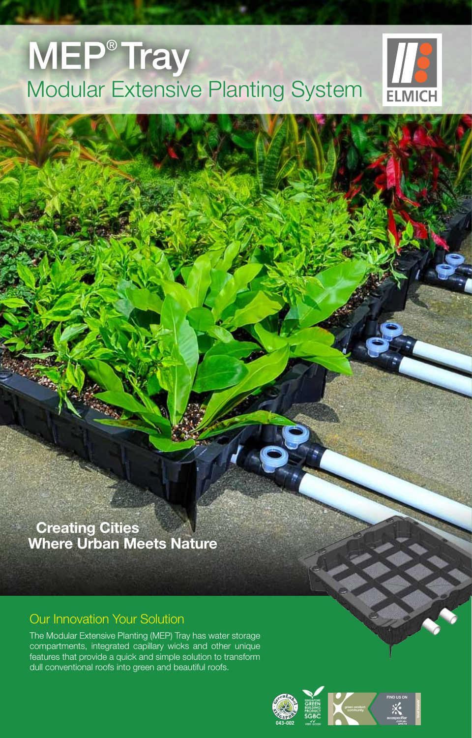## Modular Extensive Planting System **MEP<sup>®</sup> Tray**



 **Creating Cities Where Urban Meets Nature**

#### Our Innovation Your Solution

The Modular Extensive Planting (MEP) Tray has water storage compartments, integrated capillary wicks and other unique features that provide a quick and simple solution to transform dull conventional roofs into green and beautiful roofs.

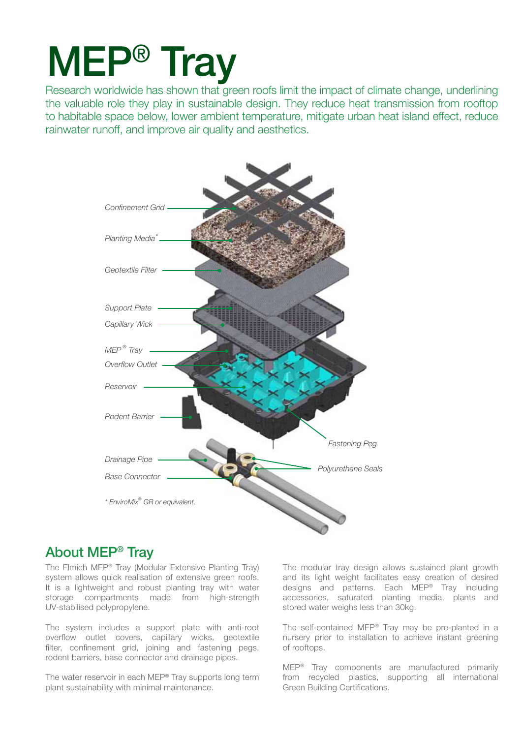# MEP® Tray

Research worldwide has shown that green roofs limit the impact of climate change, underlining the valuable role they play in sustainable design. They reduce heat transmission from rooftop to habitable space below, lower ambient temperature, mitigate urban heat island effect, reduce rainwater runoff, and improve air quality and aesthetics.



#### About MEP® Tray

The Elmich MEP® Tray (Modular Extensive Planting Tray) system allows quick realisation of extensive green roofs. It is a lightweight and robust planting tray with water storage compartments made from high-strength UV-stabilised polypropylene.

The system includes a support plate with anti-root overflow outlet covers, capillary wicks, geotextile filter, confinement grid, joining and fastening pegs, rodent barriers, base connector and drainage pipes.

The water reservoir in each MEP® Tray supports long term plant sustainability with minimal maintenance.

The modular tray design allows sustained plant growth and its light weight facilitates easy creation of desired designs and patterns. Each MEP® Tray including accessories, saturated planting media, plants and stored water weighs less than 30kg.

The self-contained MEP® Tray may be pre-planted in a nursery prior to installation to achieve instant greening of rooftops.

MEP® Tray components are manufactured primarily from recycled plastics, supporting all international Green Building Certifications.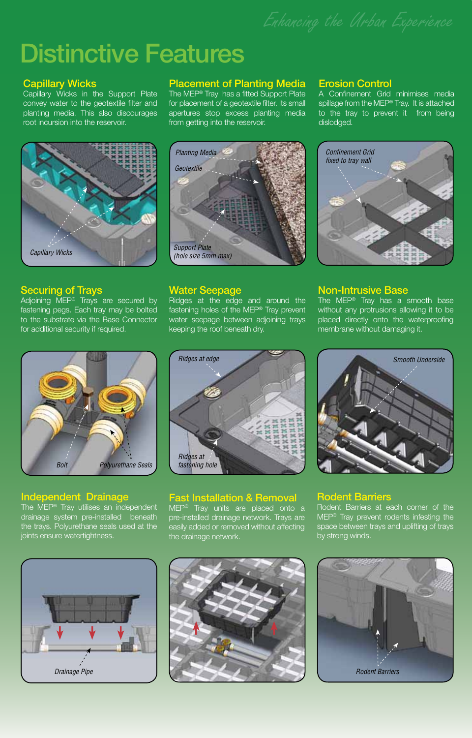### Distinctive Features

#### Capillary Wicks

Capillary Wicks in the Support Plate convey water to the geotextile filter and planting media. This also discourages root incursion into the reservoir.



#### Securing of Trays

Adjoining MEP<sup>®</sup> Trays are secured by fastening pegs. Each tray may be bolted to the substrate via the Base Connector for additional security if required.



#### Independent Drainage

The MEP® Tray utilises an independent drainage system pre-installed beneath the trays. Polyurethane seals used at the joints ensure watertightness.

#### Placement of Planting Media

The MEP® Tray has a fitted Support Plate for placement of a geotextile filter. Its small apertures stop excess planting media from getting into the reservoir.



#### Water Seepage

Ridges at the edge and around the fastening holes of the MEP® Tray prevent water seepage between adjoining trays keeping the roof beneath dry.

#### Erosion Control

A Confinement Grid minimises media spillage from the MEP<sup>®</sup> Tray. It is attached to the tray to prevent it from being dislodged.



#### Non-Intrusive Base

The MEP® Tray has a smooth base without any protrusions allowing it to be placed directly onto the waterproofing membrane without damaging it.



#### Fast Installation & Removal

MEP® Tray units are placed onto a pre-installed drainage network. Trays are easily added or removed without affecting the drainage network.



#### Rodent Barriers

Rodent Barriers at each corner of the MEP® Tray prevent rodents infesting the space between trays and uplifting of trays by strong winds.